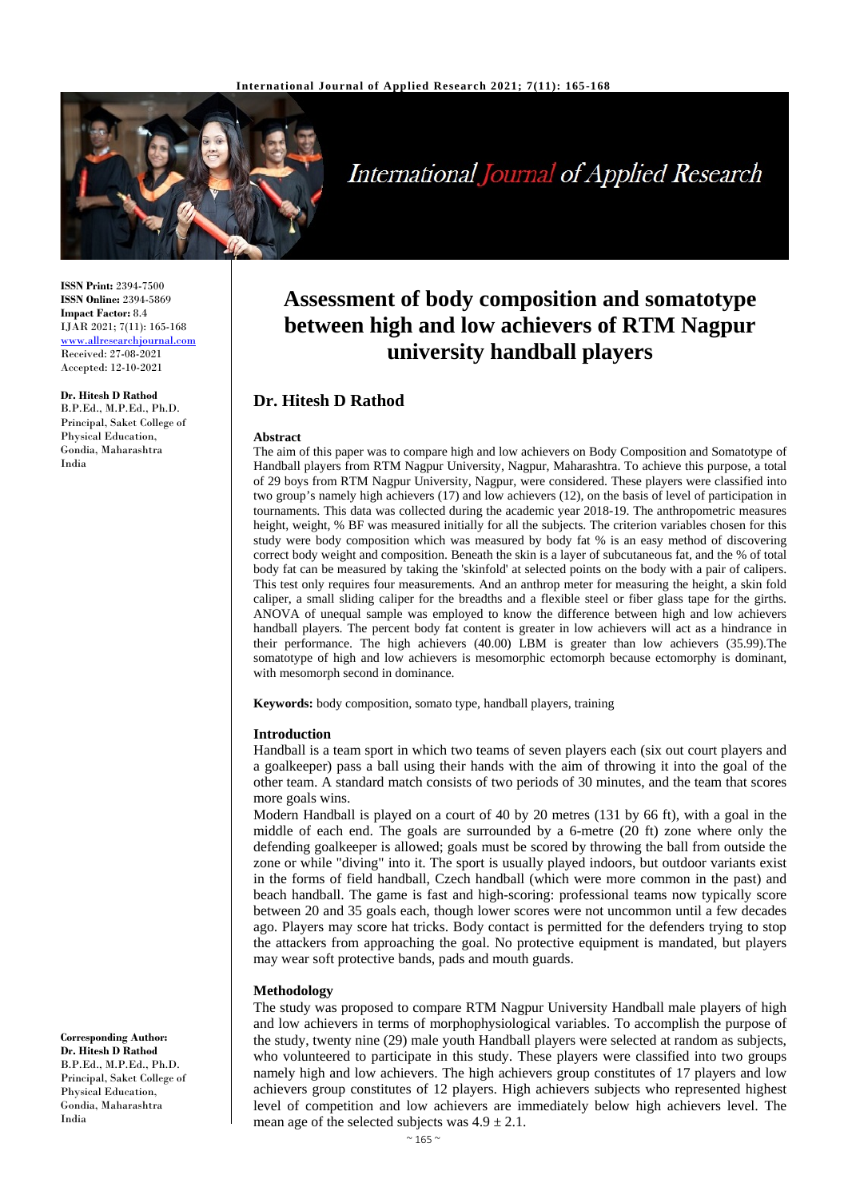

# **International Journal of Applied Research**

**ISSN Print:** 2394-7500 **ISSN Online:** 2394-5869 **Impact Factor:** 8.4 IJAR 2021; 7(11): 165-168 www.allresearchjournal.com Received: 27-08-2021 Accepted: 12-10-2021

# **Dr. Hitesh D Rathod**

B.P.Ed., M.P.Ed., Ph.D. Principal, Saket College of Physical Education, Gondia, Maharashtra India

**Assessment of body composition and somatotype between high and low achievers of RTM Nagpur university handball players**

# **Dr. Hitesh D Rathod**

#### **Abstract**

The aim of this paper was to compare high and low achievers on Body Composition and Somatotype of Handball players from RTM Nagpur University, Nagpur, Maharashtra. To achieve this purpose, a total of 29 boys from RTM Nagpur University, Nagpur, were considered. These players were classified into two group's namely high achievers (17) and low achievers (12), on the basis of level of participation in tournaments. This data was collected during the academic year 2018-19. The anthropometric measures height, weight, % BF was measured initially for all the subjects. The criterion variables chosen for this study were body composition which was measured by body fat % is an easy method of discovering correct body weight and composition. Beneath the skin is a layer of subcutaneous fat, and the % of total body fat can be measured by taking the 'skinfold' at selected points on the body with a pair of calipers. This test only requires four measurements. And an anthrop meter for measuring the height, a skin fold caliper, a small sliding caliper for the breadths and a flexible steel or fiber glass tape for the girths. ANOVA of unequal sample was employed to know the difference between high and low achievers handball players. The percent body fat content is greater in low achievers will act as a hindrance in their performance. The high achievers (40.00) LBM is greater than low achievers (35.99).The somatotype of high and low achievers is mesomorphic ectomorph because ectomorphy is dominant, with mesomorph second in dominance.

**Keywords:** body composition, somato type, handball players, training

#### **Introduction**

Handball is a team sport in which two teams of seven players each (six out court players and a goalkeeper) pass a ball using their hands with the aim of throwing it into the goal of the other team. A standard match consists of two periods of 30 minutes, and the team that scores more goals wins.

Modern Handball is played on a court of 40 by 20 metres (131 by 66 ft), with a goal in the middle of each end. The goals are surrounded by a 6-metre (20 ft) zone where only the defending goalkeeper is allowed; goals must be scored by throwing the ball from outside the zone or while "diving" into it. The sport is usually played indoors, but outdoor variants exist in the forms of field handball, Czech handball (which were more common in the past) and beach handball. The game is fast and high-scoring: professional teams now typically score between 20 and 35 goals each, though lower scores were not uncommon until a few decades ago. Players may score hat tricks. Body contact is permitted for the defenders trying to stop the attackers from approaching the goal. No protective equipment is mandated, but players may wear soft protective bands, pads and mouth guards.

#### **Methodology**

The study was proposed to compare RTM Nagpur University Handball male players of high and low achievers in terms of morphophysiological variables. To accomplish the purpose of the study, twenty nine (29) male youth Handball players were selected at random as subjects, who volunteered to participate in this study. These players were classified into two groups namely high and low achievers. The high achievers group constitutes of 17 players and low achievers group constitutes of 12 players. High achievers subjects who represented highest level of competition and low achievers are immediately below high achievers level. The mean age of the selected subjects was  $4.9 \pm 2.1$ .

**Corresponding Author: Dr. Hitesh D Rathod** B.P.Ed., M.P.Ed., Ph.D. Principal, Saket College of Physical Education, Gondia, Maharashtra India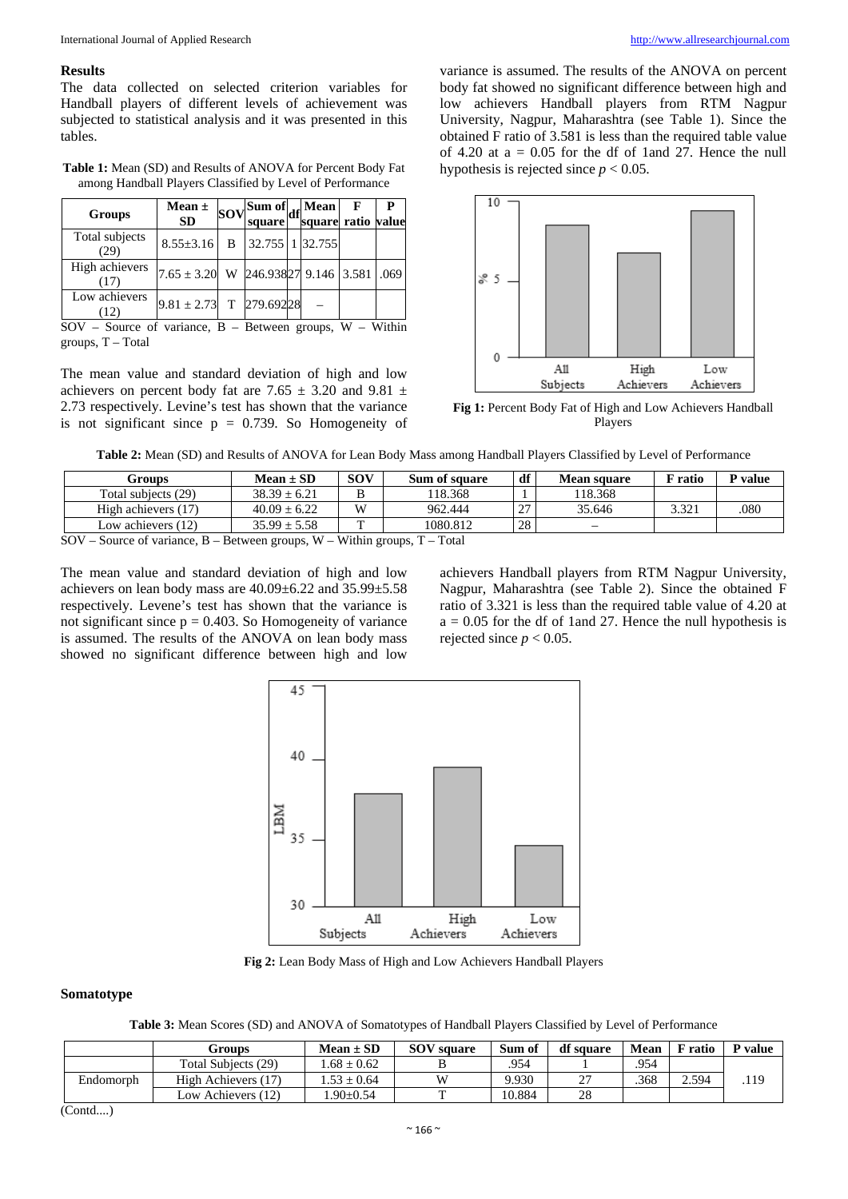### **Results**

The data collected on selected criterion variables for Handball players of different levels of achievement was subjected to statistical analysis and it was presented in this tables.

**Table 1:** Mean (SD) and Results of ANOVA for Percent Body Fat among Handball Players Classified by Level of Performance

| Groups                 | Mean $\pm$<br><b>SD</b>                      | $ Sov $ Sum of $ df $ Mean<br>square | square ratio value | F | P |
|------------------------|----------------------------------------------|--------------------------------------|--------------------|---|---|
| Total subjects<br>(29) | 8.55±3.16 B 32.755 1 32.755                  |                                      |                    |   |   |
| High achievers<br>(17) | $7.65 \pm 3.20$ W 246.93827 9.146 3.581 .069 |                                      |                    |   |   |
| Low achievers<br>(12)  | $9.81 \pm 2.73$ T 279.69228                  |                                      |                    |   |   |

 $SOV - Source of variance, B - Between groups, W - Within$ groups, T – Total

The mean value and standard deviation of high and low achievers on percent body fat are 7.65  $\pm$  3.20 and 9.81  $\pm$ 2.73 respectively. Levine's test has shown that the variance is not significant since  $p = 0.739$ . So Homogeneity of

variance is assumed. The results of the ANOVA on percent body fat showed no significant difference between high and low achievers Handball players from RTM Nagpur University, Nagpur, Maharashtra (see Table 1). Since the obtained F ratio of 3.581 is less than the required table value of 4.20 at  $a = 0.05$  for the df of 1and 27. Hence the null hypothesis is rejected since  $p < 0.05$ .



**Fig 1:** Percent Body Fat of High and Low Achievers Handball Players

| Table 2: Mean (SD) and Results of ANOVA for Lean Body Mass among Handball Players Classified by Level of Performance |  |  |
|----------------------------------------------------------------------------------------------------------------------|--|--|
|                                                                                                                      |  |  |

| Groups                                                                       | $Mean \pm SD$    | <b>SOV</b> | Sum of square | df  | <b>Mean square</b> | F ratio | P value |  |
|------------------------------------------------------------------------------|------------------|------------|---------------|-----|--------------------|---------|---------|--|
| Total subjects (29)                                                          | $38.39 \pm 6.21$ |            | 118.368       |     | 118.368            |         |         |  |
| High achievers (17)                                                          | $40.09 \pm 6.22$ | W          | 962.444       | 127 | 35.646             | 3.321   | .080    |  |
| Low achievers $(12)$                                                         | $35.99 \pm 5.58$ | m          | 1080.812      | 28  |                    |         |         |  |
| $SOV$ – Source of variance, B – Between groups, W – Within groups, T – Total |                  |            |               |     |                    |         |         |  |

The mean value and standard deviation of high and low achievers on lean body mass are 40.09±6.22 and 35.99±5.58 respectively. Levene's test has shown that the variance is not significant since  $p = 0.403$ . So Homogeneity of variance is assumed. The results of the ANOVA on lean body mass showed no significant difference between high and low

achievers Handball players from RTM Nagpur University, Nagpur, Maharashtra (see Table 2). Since the obtained F ratio of 3.321 is less than the required table value of 4.20 at  $a = 0.05$  for the df of 1 and 27. Hence the null hypothesis is rejected since  $p < 0.05$ .



**Fig 2:** Lean Body Mass of High and Low Achievers Handball Players

## **Somatotype**

**Table 3:** Mean Scores (SD) and ANOVA of Somatotypes of Handball Players Classified by Level of Performance

|           | Groups              | $Mean \pm SD$   | <b>SOV</b> square | Sum of | df square | Mean | F ratio | P value |
|-----------|---------------------|-----------------|-------------------|--------|-----------|------|---------|---------|
|           | Total Subjects (29) | $.68 \pm 0.62$  |                   | .954   |           | .954 |         |         |
| Endomorph | High Achievers (17) | $1.53 \pm 0.64$ | W                 | 9.930  | $\sim$    | .368 | 2.594   | .119    |
|           | Low Achievers (12)  | $.90 \pm 0.54$  |                   | 10.884 | 28        |      |         |         |

(Contd....)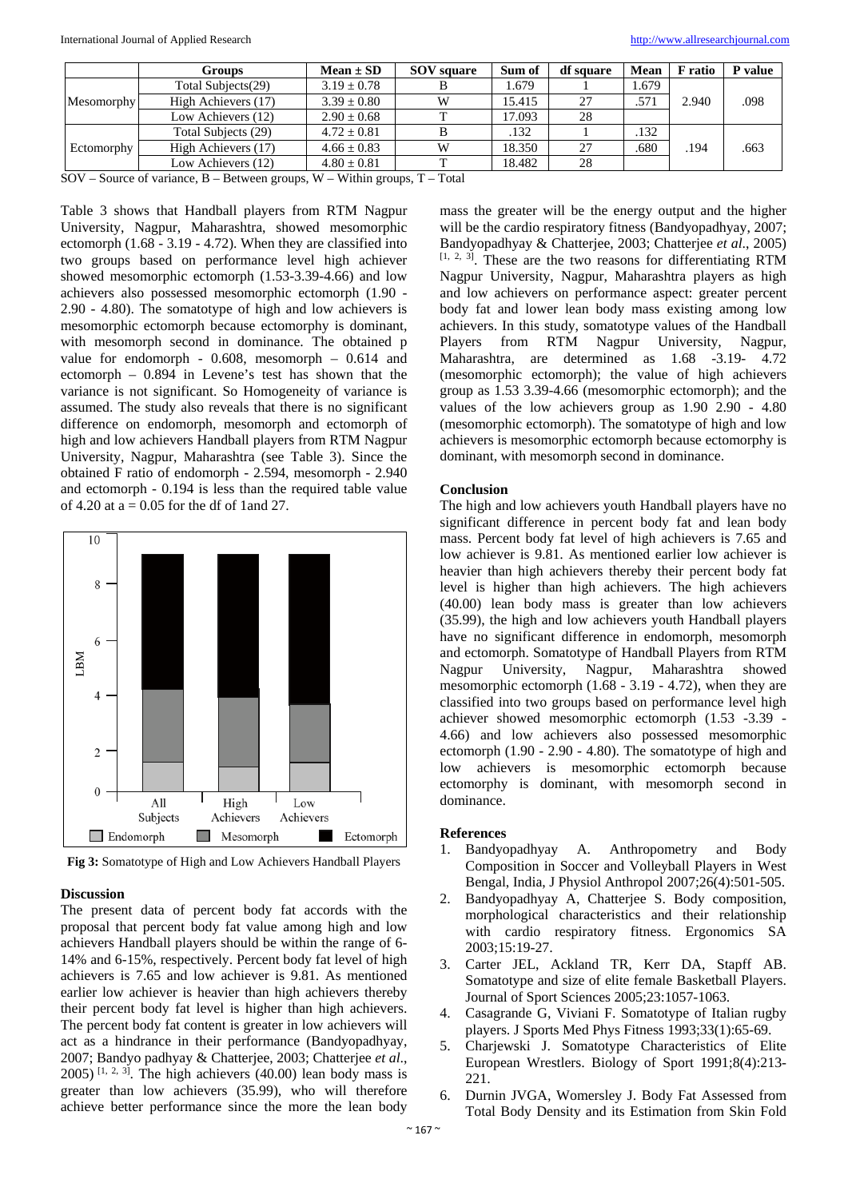|                   | Groups              | $Mean \pm SD$   | <b>SOV</b> square | Sum of | df square | Mean  | F ratio | P value |
|-------------------|---------------------|-----------------|-------------------|--------|-----------|-------|---------|---------|
|                   | Total Subjects(29)  | $3.19 \pm 0.78$ |                   | 1.679  |           | 1.679 |         |         |
| <b>Mesomorphy</b> | High Achievers (17) | $3.39 \pm 0.80$ | W                 | 15.415 | 27        | .571  | 2.940   | .098    |
|                   | Low Achievers (12)  | $2.90 \pm 0.68$ |                   | 17.093 | 28        |       |         |         |
|                   | Total Subjects (29) | $4.72 \pm 0.81$ |                   | .132   |           | .132  |         |         |
| Ectomorphy        | High Achievers (17) | $4.66 \pm 0.83$ | W                 | 18.350 | 27        | .680  | .194    | .663    |
|                   | Low Achievers (12)  | $4.80 \pm 0.81$ |                   | 18.482 | 28        |       |         |         |
| ______            |                     | ____ ______     |                   |        |           |       |         |         |

 $SOV - Source$  of variance,  $B - Between$  groups,  $W - Within$  groups,  $T - Total$ 

Table 3 shows that Handball players from RTM Nagpur University, Nagpur, Maharashtra, showed mesomorphic ectomorph (1.68 - 3.19 - 4.72). When they are classified into two groups based on performance level high achiever showed mesomorphic ectomorph (1.53-3.39-4.66) and low achievers also possessed mesomorphic ectomorph (1.90 - 2.90 - 4.80). The somatotype of high and low achievers is mesomorphic ectomorph because ectomorphy is dominant, with mesomorph second in dominance. The obtained p value for endomorph - 0.608, mesomorph – 0.614 and ectomorph – 0.894 in Levene's test has shown that the variance is not significant. So Homogeneity of variance is assumed. The study also reveals that there is no significant difference on endomorph, mesomorph and ectomorph of high and low achievers Handball players from RTM Nagpur University, Nagpur, Maharashtra (see Table 3). Since the obtained F ratio of endomorph - 2.594, mesomorph - 2.940 and ectomorph - 0.194 is less than the required table value of 4.20 at  $a = 0.05$  for the df of 1and 27.



**Fig 3:** Somatotype of High and Low Achievers Handball Players

### **Discussion**

The present data of percent body fat accords with the proposal that percent body fat value among high and low achievers Handball players should be within the range of 6- 14% and 6-15%, respectively. Percent body fat level of high achievers is 7.65 and low achiever is 9.81. As mentioned earlier low achiever is heavier than high achievers thereby their percent body fat level is higher than high achievers. The percent body fat content is greater in low achievers will act as a hindrance in their performance (Bandyopadhyay, 2007; Bandyo padhyay & Chatterjee, 2003; Chatterjee *et al*.,  $2005$ ) <sup>[1, 2, 3]</sup>. The high achievers (40.00) lean body mass is greater than low achievers (35.99), who will therefore achieve better performance since the more the lean body

mass the greater will be the energy output and the higher will be the cardio respiratory fitness (Bandyopadhyay, 2007; Bandyopadhyay & Chatterjee, 2003; Chatterjee *et al*., 2005)  $[1, 2, 3]$ . These are the two reasons for differentiating RTM Nagpur University, Nagpur, Maharashtra players as high and low achievers on performance aspect: greater percent body fat and lower lean body mass existing among low achievers. In this study, somatotype values of the Handball Players from RTM Nagpur University, Nagpur, Maharashtra, are determined as 1.68 -3.19- 4.72 (mesomorphic ectomorph); the value of high achievers group as 1.53 3.39-4.66 (mesomorphic ectomorph); and the values of the low achievers group as 1.90 2.90 - 4.80 (mesomorphic ectomorph). The somatotype of high and low achievers is mesomorphic ectomorph because ectomorphy is dominant, with mesomorph second in dominance.

#### **Conclusion**

The high and low achievers youth Handball players have no significant difference in percent body fat and lean body mass. Percent body fat level of high achievers is 7.65 and low achiever is 9.81. As mentioned earlier low achiever is heavier than high achievers thereby their percent body fat level is higher than high achievers. The high achievers (40.00) lean body mass is greater than low achievers (35.99), the high and low achievers youth Handball players have no significant difference in endomorph, mesomorph and ectomorph. Somatotype of Handball Players from RTM Nagpur University, Nagpur, Maharashtra showed mesomorphic ectomorph (1.68 - 3.19 - 4.72), when they are classified into two groups based on performance level high achiever showed mesomorphic ectomorph (1.53 -3.39 - 4.66) and low achievers also possessed mesomorphic ectomorph (1.90 - 2.90 - 4.80). The somatotype of high and low achievers is mesomorphic ectomorph because ectomorphy is dominant, with mesomorph second in dominance.

#### **References**

- 1. Bandyopadhyay A. Anthropometry and Body Composition in Soccer and Volleyball Players in West Bengal, India, J Physiol Anthropol 2007;26(4):501-505.
- 2. Bandyopadhyay A, Chatterjee S. Body composition, morphological characteristics and their relationship with cardio respiratory fitness. Ergonomics SA 2003;15:19-27.
- 3. Carter JEL, Ackland TR, Kerr DA, Stapff AB. Somatotype and size of elite female Basketball Players. Journal of Sport Sciences 2005;23:1057-1063.
- 4. Casagrande G, Viviani F. Somatotype of Italian rugby players. J Sports Med Phys Fitness 1993;33(1):65-69.
- 5. Charjewski J. Somatotype Characteristics of Elite European Wrestlers. Biology of Sport 1991;8(4):213- 221.
- 6. Durnin JVGA, Womersley J. Body Fat Assessed from Total Body Density and its Estimation from Skin Fold